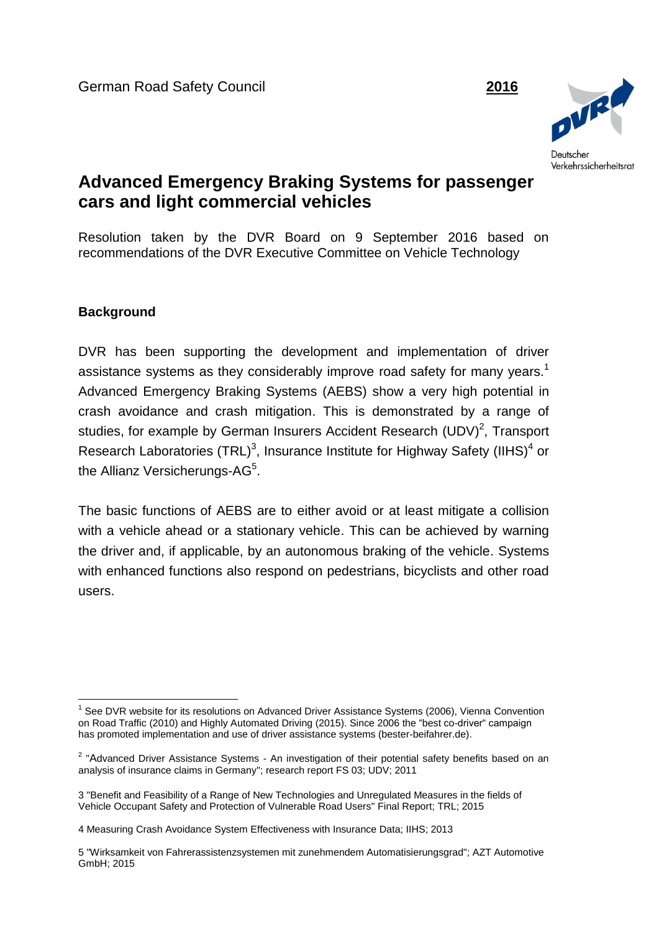

## **Advanced Emergency Braking Systems for passenger cars and light commercial vehicles**

Resolution taken by the DVR Board on 9 September 2016 based on recommendations of the DVR Executive Committee on Vehicle Technology

## **Background**

DVR has been supporting the development and implementation of driver assistance systems as they considerably improve road safety for many years.<sup>1</sup> Advanced Emergency Braking Systems (AEBS) show a very high potential in crash avoidance and crash mitigation. This is demonstrated by a range of studies, for example by German Insurers Accident Research  $(UDV)^2$ , Transport Research Laboratories (TRL)<sup>3</sup>, Insurance Institute for Highway Safety (IIHS)<sup>4</sup> or the Allianz Versicherungs-AG<sup>5</sup>.

The basic functions of AEBS are to either avoid or at least mitigate a collision with a vehicle ahead or a stationary vehicle. This can be achieved by warning the driver and, if applicable, by an autonomous braking of the vehicle. Systems with enhanced functions also respond on pedestrians, bicyclists and other road users.

**<sup>.</sup>** <sup>1</sup> See DVR website for its resolutions on Advanced Driver Assistance Systems (2006), Vienna Convention on Road Traffic (2010) and Highly Automated Driving (2015). Since 2006 the "best co-driver" campaign has promoted implementation and use of driver assistance systems (bester-beifahrer.de).

<sup>&</sup>lt;sup>2</sup> "Advanced Driver Assistance Systems - An investigation of their potential safety benefits based on an analysis of insurance claims in Germany"; research report FS 03; UDV; 2011

<sup>3</sup> "Benefit and Feasibility of a Range of New Technologies and Unregulated Measures in the fields of Vehicle Occupant Safety and Protection of Vulnerable Road Users" Final Report; TRL; 2015

<sup>4</sup> Measuring Crash Avoidance System Effectiveness with Insurance Data; IIHS; 2013

<sup>5</sup> "Wirksamkeit von Fahrerassistenzsystemen mit zunehmendem Automatisierungsgrad"; AZT Automotive GmbH; 2015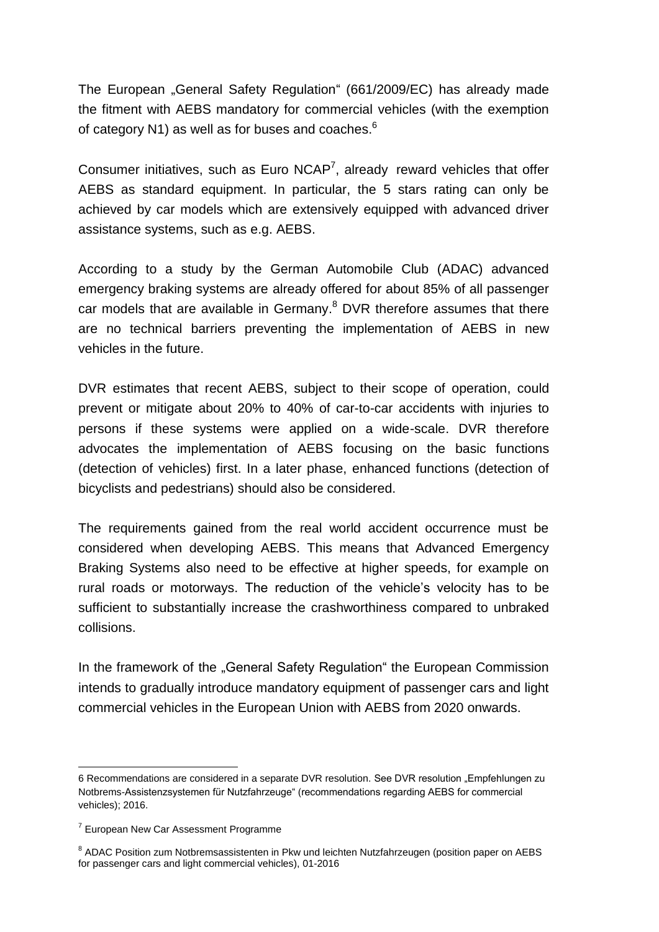The European "General Safety Regulation" (661/2009/EC) has already made the fitment with AEBS mandatory for commercial vehicles (with the exemption of category N1) as well as for buses and coaches. $^6$ 

Consumer initiatives, such as Euro  $NCAP<sup>7</sup>$ , already reward vehicles that offer AEBS as standard equipment. In particular, the 5 stars rating can only be achieved by car models which are extensively equipped with advanced driver assistance systems, such as e.g. AEBS.

According to a study by the German Automobile Club (ADAC) advanced emergency braking systems are already offered for about 85% of all passenger car models that are available in Germany.<sup>8</sup> DVR therefore assumes that there are no technical barriers preventing the implementation of AEBS in new vehicles in the future.

DVR estimates that recent AEBS, subject to their scope of operation, could prevent or mitigate about 20% to 40% of car-to-car accidents with injuries to persons if these systems were applied on a wide-scale. DVR therefore advocates the implementation of AEBS focusing on the basic functions (detection of vehicles) first. In a later phase, enhanced functions (detection of bicyclists and pedestrians) should also be considered.

The requirements gained from the real world accident occurrence must be considered when developing AEBS. This means that Advanced Emergency Braking Systems also need to be effective at higher speeds, for example on rural roads or motorways. The reduction of the vehicle's velocity has to be sufficient to substantially increase the crashworthiness compared to unbraked collisions.

In the framework of the "General Safety Regulation" the European Commission intends to gradually introduce mandatory equipment of passenger cars and light commercial vehicles in the European Union with AEBS from 2020 onwards.

**<sup>.</sup>** 6 Recommendations are considered in a separate DVR resolution. See DVR resolution "Empfehlungen zu Notbrems-Assistenzsystemen für Nutzfahrzeuge" (recommendations regarding AEBS for commercial vehicles); 2016.

<sup>&</sup>lt;sup>7</sup> European New Car Assessment Programme

<sup>&</sup>lt;sup>8</sup> ADAC Position zum Notbremsassistenten in Pkw und leichten Nutzfahrzeugen (position paper on AEBS for passenger cars and light commercial vehicles), 01-2016